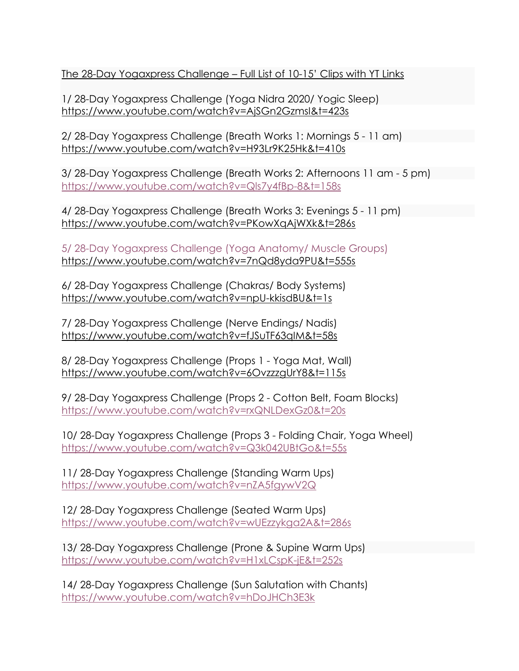The 28-Day Yogaxpress Challenge – Full List of 10-15' Clips with YT Links

1/ 28-Day Yogaxpress Challenge (Yoga Nidra 2020/ Yogic Sleep) https://www.youtube.com/watch?v=AjSGn2GzmsI&t=423s

2/ 28-Day Yogaxpress Challenge (Breath Works 1: Mornings 5 - 11 am) https://www.youtube.com/watch?v=H93Lr9K25Hk&t=410s

3/ 28-Day Yogaxpress Challenge (Breath Works 2: Afternoons 11 am - 5 pm) https://www.youtube.com/watch?v=Qls7y4fBp-8&t=158s

4/ 28-Day Yogaxpress Challenge (Breath Works 3: Evenings 5 - 11 pm) https://www.youtube.com/watch?v=PKowXqAjWXk&t=286s

5/ 28-Day Yogaxpress Challenge (Yoga Anatomy/ Muscle Groups) https://www.youtube.com/watch?v=7nQd8yda9PU&t=555s

6/ 28-Day Yogaxpress Challenge (Chakras/ Body Systems) https://www.youtube.com/watch?v=npU-kkisdBU&t=1s

7/ 28-Day Yogaxpress Challenge (Nerve Endings/ Nadis) https://www.youtube.com/watch?v=fJSuTF63qIM&t=58s

8/ 28-Day Yogaxpress Challenge (Props 1 - Yoga Mat, Wall) https://www.youtube.com/watch?v=6OvzzzgUrY8&t=115s

9/ 28-Day Yogaxpress Challenge (Props 2 - Cotton Belt, Foam Blocks) https://www.youtube.com/watch?v=rxQNLDexGz0&t=20s

10/ 28-Day Yogaxpress Challenge (Props 3 - Folding Chair, Yoga Wheel) https://www.youtube.com/watch?v=Q3k042UBtGo&t=55s

11/ 28-Day Yogaxpress Challenge (Standing Warm Ups) https://www.youtube.com/watch?v=nZA5fgywV2Q

12/ 28-Day Yogaxpress Challenge (Seated Warm Ups) https://www.youtube.com/watch?v=wUEzzykga2A&t=286s

13/ 28-Day Yogaxpress Challenge (Prone & Supine Warm Ups) https://www.youtube.com/watch?v=H1xLCspK-jE&t=252s

14/ 28-Day Yogaxpress Challenge (Sun Salutation with Chants) https://www.youtube.com/watch?v=hDoJHCh3E3k